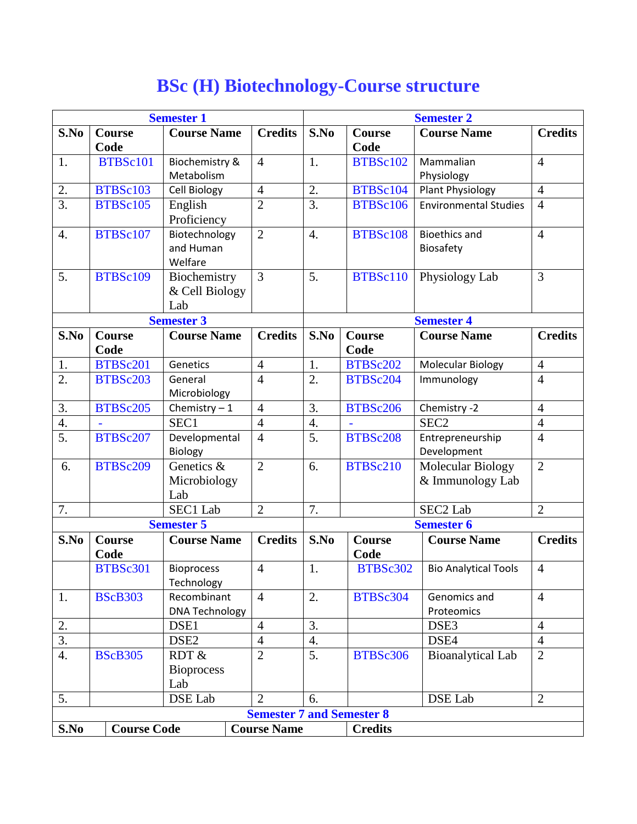## **Semester 1 Semester 2 S.No Course Code Course Name Credits S.No Course Code Course Name Credits** 1. BTBSc101 Biochemistry & Metabolism 4 1. BTBSc102 Mammalian Physiology 4 2. BTBSc103 Cell Biology  $\begin{vmatrix} 4 & 2 \end{vmatrix}$  BTBSc104 Plant Physiology  $\begin{vmatrix} 4 & 4 \end{vmatrix}$ 3. BTBSc105 English Proficiency 2  $|3.|BTSs106|$  Environmental Studies 4 4. BTBSc107 Biotechnology and Human Welfare 2 4. BTBSc108 Bioethics and Biosafety 4 5. BTBSc109 Biochemistry & Cell Biology Lab  $\overline{3}$  | 5. | BTBSc110 | Physiology Lab | 3 **Semester 3 Semester 4 S.No Course Code Course Name Credits S.No Course Code Course Name Credits** 1. BTBSc201 Genetics | 4 | 1. | BTBSc202 | Molecular Biology | 4 2. BTBSc203 General Microbiology 4 2. BTBSc204 Immunology 4 3. BTBSc205 Chemistry – 1 4 3. BTBSc206 Chemistry - 2 4 4. |- | SEC1 | 4 | 4. | - | SEC2 | 4 5. BTBSc207 Developmental Biology 4 5. BTBSc208 Entrepreneurship Development 4 6. BTBSc209 Genetics & Microbiology Lab 2 6. BTBSc210 Molecular Biology & Immunology Lab 2 7. | SEC1 Lab 2 7. | SEC2 Lab 2 **Semester 5 Semester 6 S.No Course Code Course Name Credits S.No Course Code Course Name Credits** BTBSc301 | Bioprocess **Technology** 4 1. BTBSc302 Bio Analytical Tools 4 1. BScB303 Recombinant DNA Technology 4 2. BTBSc304 Genomics and Proteomics 4 2. | DSE1 |4 | 3. | DSE3 | 4 3. | DSE2 | 4 | 4. | DSE4 | 4 4. BScB305 RDT & **Bioprocess** Lab 2 5. BTBSc306 Bioanalytical Lab 2 5. | DSE Lab 2 6. | DSE Lab 2

**Semester 7 and Semester 8**

**S.No Course Code Course Name Credits**

## **BSc (H) Biotechnology-Course structure**